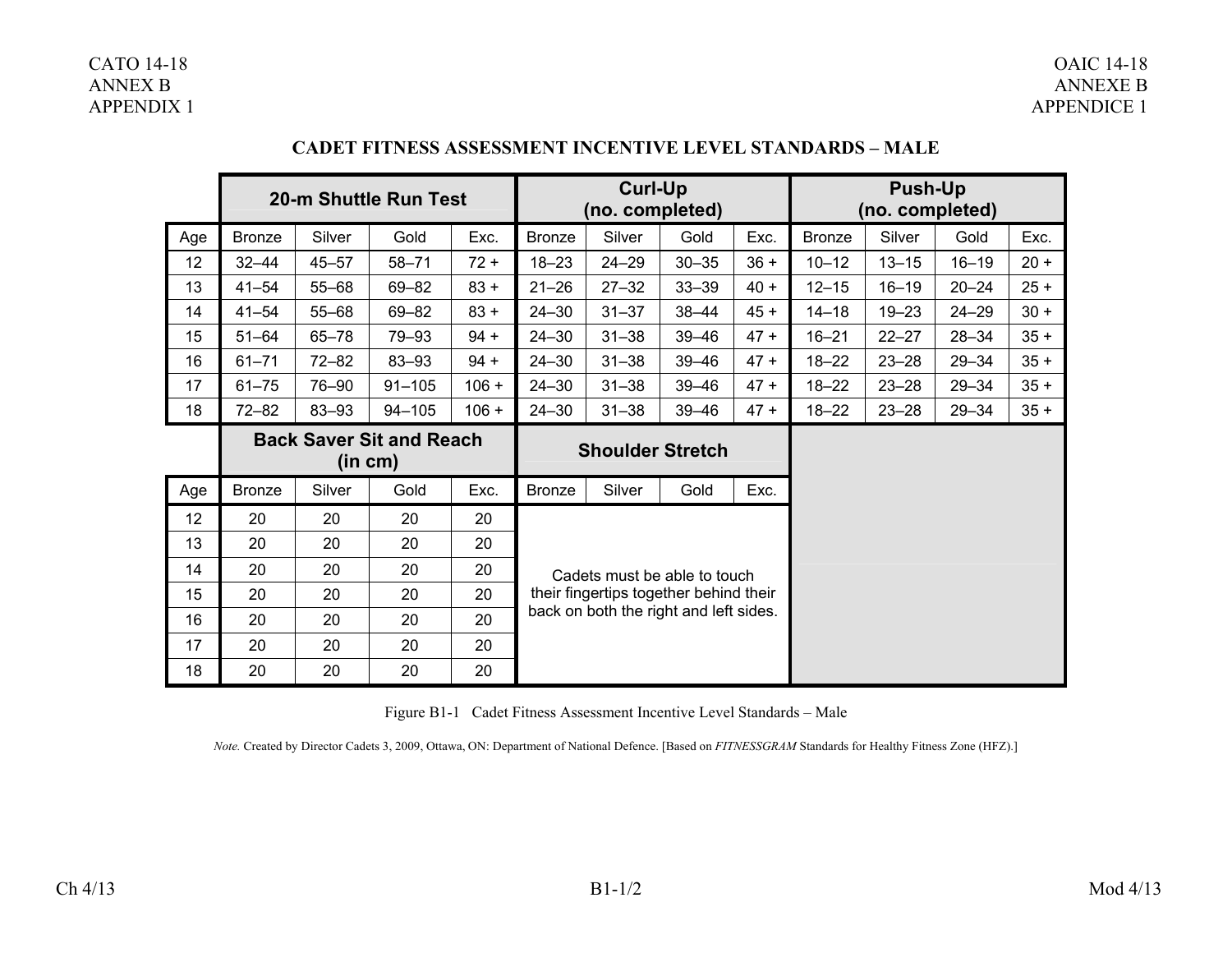### CATO 14-18 OAIC 14-18 **OAIC 14-18**  ANNEX B ANNEXE B **ANNEXE B** APPENDIX 1 APPENDICE 1

|                 | 20-m Shuttle Run Test                      |           |            |         | <b>Curl-Up</b><br>(no. completed)      |                                        |           |        | <b>Push-Up</b><br>(no. completed) |           |           |        |
|-----------------|--------------------------------------------|-----------|------------|---------|----------------------------------------|----------------------------------------|-----------|--------|-----------------------------------|-----------|-----------|--------|
| Age             | <b>Bronze</b>                              | Silver    | Gold       | Exc.    | <b>Bronze</b>                          | Silver                                 | Gold      | Exc.   | <b>Bronze</b>                     | Silver    | Gold      | Exc.   |
| 12 <sub>2</sub> | $32 - 44$                                  | $45 - 57$ | $58 - 71$  | $72 +$  | $18 - 23$                              | $24 - 29$                              | $30 - 35$ | $36 +$ | $10 - 12$                         | $13 - 15$ | $16 - 19$ | $20 +$ |
| 13              | $41 - 54$                                  | $55 - 68$ | 69-82      | $83 +$  | $21 - 26$                              | $27 - 32$                              | $33 - 39$ | $40 +$ | $12 - 15$                         | $16 - 19$ | $20 - 24$ | $25 +$ |
| 14              | $41 - 54$                                  | $55 - 68$ | 69-82      | $83 +$  | $24 - 30$                              | $31 - 37$                              | $38 - 44$ | $45 +$ | $14 - 18$                         | $19 - 23$ | $24 - 29$ | $30 +$ |
| 15              | $51 - 64$                                  | $65 - 78$ | 79-93      | $94 +$  | $24 - 30$                              | $31 - 38$                              | $39 - 46$ | $47 +$ | $16 - 21$                         | $22 - 27$ | $28 - 34$ | $35 +$ |
| 16              | $61 - 71$                                  | $72 - 82$ | 83-93      | $94 +$  | $24 - 30$                              | $31 - 38$                              | $39 - 46$ | $47 +$ | $18 - 22$                         | $23 - 28$ | $29 - 34$ | $35 +$ |
| 17              | $61 - 75$                                  | 76-90     | $91 - 105$ | $106 +$ | $24 - 30$                              | $31 - 38$                              | $39 - 46$ | $47 +$ | $18 - 22$                         | $23 - 28$ | $29 - 34$ | $35 +$ |
| 18              | $72 - 82$                                  | 83-93     | $94 - 105$ | $106 +$ | $24 - 30$                              | $31 - 38$                              | $39 - 46$ | $47 +$ | $18 - 22$                         | $23 - 28$ | $29 - 34$ | $35 +$ |
|                 | <b>Back Saver Sit and Reach</b><br>(in cm) |           |            |         | <b>Shoulder Stretch</b>                |                                        |           |        |                                   |           |           |        |
| Age             | <b>Bronze</b>                              | Silver    | Gold       | Exc.    | <b>Bronze</b>                          | Silver                                 | Gold      | Exc.   |                                   |           |           |        |
| 12              | 20                                         | 20        | 20         | 20      |                                        |                                        |           |        |                                   |           |           |        |
| 13              | 20                                         | 20        | 20         | 20      |                                        |                                        |           |        |                                   |           |           |        |
| 14              | 20                                         | 20        | 20         | 20      | Cadets must be able to touch           |                                        |           |        |                                   |           |           |        |
| 15              | 20                                         | 20        | 20         | 20      |                                        | their fingertips together behind their |           |        |                                   |           |           |        |
| 16              | 20                                         | 20        | 20         | 20      | back on both the right and left sides. |                                        |           |        |                                   |           |           |        |
| 17              | 20                                         | 20        | 20         | 20      |                                        |                                        |           |        |                                   |           |           |        |
| 18              | 20                                         | 20        | 20         | 20      |                                        |                                        |           |        |                                   |           |           |        |

## **CADET FITNESS ASSESSMENT INCENTIVE LEVEL STANDARDS – MALE**

Figure B1-1 Cadet Fitness Assessment Incentive Level Standards – Male

*Note.* Created by Director Cadets 3, 2009, Ottawa, ON: Department of National Defence. [Based on *FITNESSGRAM* Standards for Healthy Fitness Zone (HFZ).]